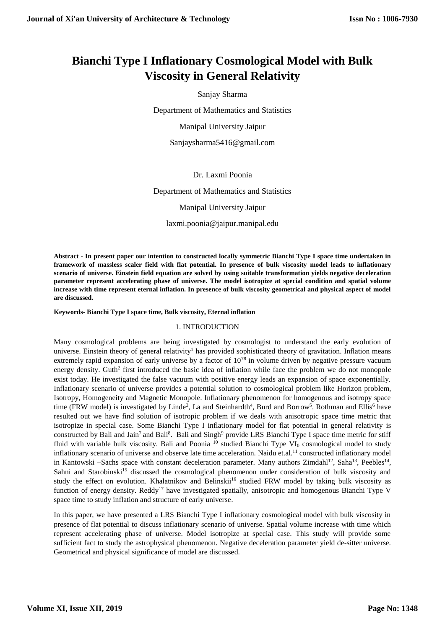# **Bianchi Type I Inflationary Cosmological Model with Bulk Viscosity in General Relativity**

Sanjay Sharma

Department of Mathematics and Statistics

Manipal University Jaipur

Sanjaysharma5416@gmail.com

Dr. Laxmi Poonia

Department of Mathematics and Statistics

Manipal University Jaipur

laxmi.poonia@jaipur.manipal.edu

**Abstract - In present paper our intention to constructed locally symmetric Bianchi Type I space time undertaken in framework of massless scaler field with flat potential. In presence of bulk viscosity model leads to inflationary scenario of universe. Einstein field equation are solved by using suitable transformation yields negative deceleration parameter represent accelerating phase of universe. The model isotropize at special condition and spatial volume increase with time represent eternal inflation. In presence of bulk viscosity geometrical and physical aspect of model are discussed.**

**Keywords- Bianchi Type I space time, Bulk viscosity, Eternal inflation**

### 1. INTRODUCTION

Many cosmological problems are being investigated by cosmologist to understand the early evolution of universe. Einstein theory of general relativity<sup>1</sup> has provided sophisticated theory of gravitation. Inflation means extremely rapid expansion of early universe by a factor of  $10^{78}$  in volume driven by negative pressure vacuum energy density. Guth<sup>2</sup> first introduced the basic idea of inflation while face the problem we do not monopole exist today. He investigated the false vacuum with positive energy leads an expansion of space exponentially. Inflationary scenario of universe provides a potential solution to cosmological problem like Horizon problem, Isotropy, Homogeneity and Magnetic Monopole. Inflationary phenomenon for homogenous and isotropy space time (FRW model) is investigated by Linde<sup>3</sup>, La and Steinhardth<sup>4</sup>, Burd and Borrow<sup>5</sup>. Rothman and Ellis<sup>6</sup> have resulted out we have find solution of isotropic problem if we deals with anisotropic space time metric that isotropize in special case. Some Bianchi Type I inflationary model for flat potential in general relativity is constructed by Bali and Jain<sup>7</sup> and Bali<sup>8</sup>. Bali and Singh<sup>9</sup> provide LRS Bianchi Type I space time metric for stiff fluid with variable bulk viscosity. Bali and Poonia<sup>10</sup> studied Bianchi Type VI<sub>0</sub> cosmological model to study inflationary scenario of universe and observe late time acceleration. Naidu et.al.<sup>11</sup> constructed inflationary model in Kantowski –Sachs space with constant deceleration parameter. Many authors Zimdahl<sup>12</sup>, Saha<sup>13</sup>, Peebles<sup>14</sup>, Sahni and Starobinski<sup>15</sup> discussed the cosmological phenomenon under consideration of bulk viscosity and study the effect on evolution. Khalatnikov and Belinskii<sup>16</sup> studied FRW model by taking bulk viscosity as function of energy density. Reddy<sup>17</sup> have investigated spatially, anisotropic and homogenous Bianchi Type V space time to study inflation and structure of early universe.

In this paper, we have presented a LRS Bianchi Type I inflationary cosmological model with bulk viscosity in presence of flat potential to discuss inflationary scenario of universe. Spatial volume increase with time which represent accelerating phase of universe. Model isotropize at special case. This study will provide some sufficient fact to study the astrophysical phenomenon. Negative deceleration parameter yield de-sitter universe. Geometrical and physical significance of model are discussed.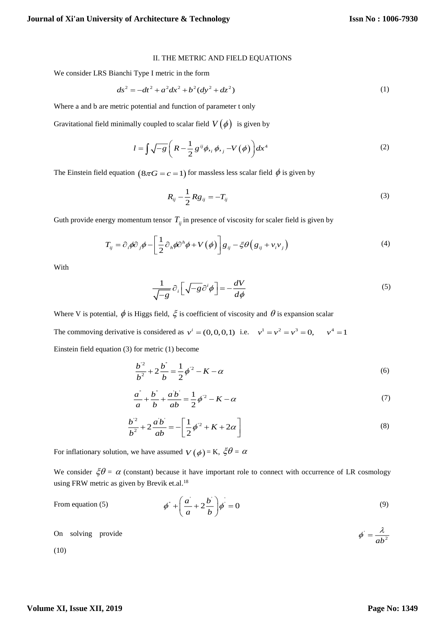#### II. THE METRIC AND FIELD EQUATIONS

We consider LRS Bianchi Type I metric in the form

$$
ds^{2} = -dt^{2} + a^{2}dx^{2} + b^{2}(dy^{2} + dz^{2})
$$
 (1)

Where a and b are metric potential and function of parameter t only

Gravitational field minimally coupled to scalar field  $V(\phi)$  is given by

$$
l = \int \sqrt{-g} \left( R - \frac{1}{2} g^{ij} \phi_{i} \phi_{j} - V(\phi) \right) dx^{4}
$$
 (2)

The Einstein field equation  $(8\pi G = c = 1)$  for massless less scalar field  $\phi$  is given by

$$
R_{ij} - \frac{1}{2} Rg_{ij} = -T_{ij}
$$
 (3)

Guth provide energy momentum tensor 
$$
T_{ij}
$$
 in presence of viscosity for scalar field is given by  
\n
$$
T_{ij} = \partial_i \phi \partial_j \phi - \left[ \frac{1}{2} \partial_{ij} \phi \partial^k \phi + V(\phi) \right] g_{ij} - \xi \theta \left( g_{ij} + v_i v_j \right)
$$
\n(4)

With

$$
\frac{1}{\sqrt{-g}} \partial_i \left[ \sqrt{-g} \partial^i \phi \right] = -\frac{dV}{d\phi} \tag{5}
$$

Where V is potential,  $\phi$  is Higgs field,  $\xi$  is coefficient of viscosity and  $\theta$  is expansion scalar

The commoving derivative is considered as  $v^{i} = (0,0,0,1)$  i.e.  $v^{1} = v^{2} = v^{3} = 0$ ,  $v^{4} = 1$ 

Einstein field equation (3) for metric (1) become

$$
\frac{b^2}{b^2} + 2\frac{b^2}{b} = \frac{1}{2}\phi^2 - K - \alpha
$$
 (6)

$$
\frac{a^{2}}{a} + \frac{b^{2}}{b} + \frac{ab}{ab} = \frac{1}{2}\phi^{2} - K - \alpha
$$
 (7)

$$
\frac{b^2}{b^2} + 2\frac{ab}{ab} = -\left[\frac{1}{2}\phi^2 + K + 2\alpha\right]
$$
 (8)

For inflationary solution, we have assumed  $V(\phi)$  = K,  $\zeta \theta = \alpha$ 

We consider  $\zeta \theta = \alpha$  (constant) because it have important role to connect with occurrence of LR cosmology using FRW metric as given by Brevik et.al.<sup>18</sup>

From equation (5) 
$$
\phi^* + \left(\frac{a}{a} + 2\frac{b}{b}\right)\phi^* = 0
$$
 (9)

On solving provide 
$$
\phi' = \frac{\lambda}{ab^2}
$$

**Volume XI, Issue XII, 2019**

(10)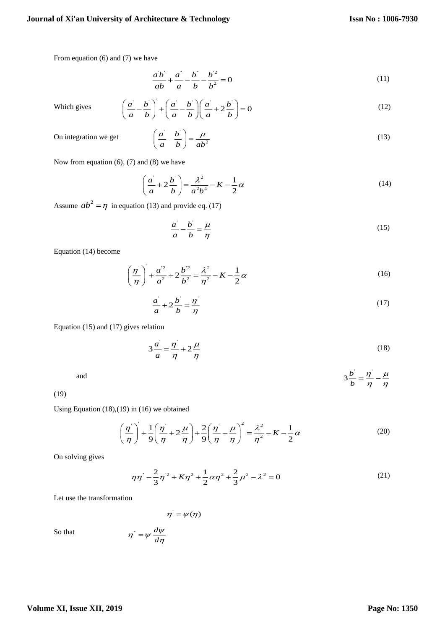From equation (6) and (7) we have

$$
\frac{ab}{ab} + \frac{a}{a} - \frac{b}{b} - \frac{b^2}{b^2} = 0
$$
 (11)

Which gives

$$
\left(\frac{a}{a} - \frac{b}{b}\right) + \left(\frac{a}{a} - \frac{b}{b}\right)\left(\frac{a}{a} + 2\frac{b}{b}\right) = 0\tag{12}
$$

On integration we get

$$
\left(\frac{a}{a} - \frac{b}{b}\right) = \frac{\mu}{ab^2}
$$
\n(13)

Now from equation  $(6)$ ,  $(7)$  and  $(8)$  we have

$$
\left(\frac{a}{a} + 2\frac{b}{b}\right) = \frac{\lambda^2}{a^2b^4} - K - \frac{1}{2}\alpha
$$
\n(14)

Assume  $ab^2 = \eta$  in equation (13) and provide eq. (17)

$$
\frac{a}{a} - \frac{b}{b} = \frac{\mu}{\eta}
$$
 (15)

Equation (14) become

$$
\left(\frac{\eta}{\eta}\right) + \frac{a^2}{a^2} + 2\frac{b^2}{b^2} = \frac{\lambda^2}{\eta^2} - K - \frac{1}{2}\alpha
$$
\n(16)

$$
\frac{a}{a} + 2\frac{b}{b} = \frac{\eta}{\eta}
$$
 (17)

Equation (15) and (17) gives relation

$$
3\frac{a}{a} = \frac{\eta}{\eta} + 2\frac{\mu}{\eta}
$$
 (18)

and

(19)

Using Equation 
$$
(18),(19)
$$
 in  $(16)$  we obtained

$$
\left(\frac{\eta}{\eta}\right) + \frac{1}{9}\left(\frac{\eta}{\eta} + 2\frac{\mu}{\eta}\right) + \frac{2}{9}\left(\frac{\eta}{\eta} - \frac{\mu}{\eta}\right)^2 = \frac{\lambda^2}{\eta^2} - K - \frac{1}{2}\alpha\tag{20}
$$

On solving gives

$$
\eta \eta^* - \frac{2}{3} \eta^2 + K \eta^2 + \frac{1}{2} \alpha \eta^2 + \frac{2}{3} \mu^2 - \lambda^2 = 0 \tag{21}
$$

Let use the transformation

 $\eta = \psi(\eta)$ 

 $3\frac{b}{b} = \frac{\eta}{\eta}$ *b*

 $\eta$ <sup>'</sup>  $\mu$  $=\frac{\eta}{\eta}-\frac{\mu}{\eta}$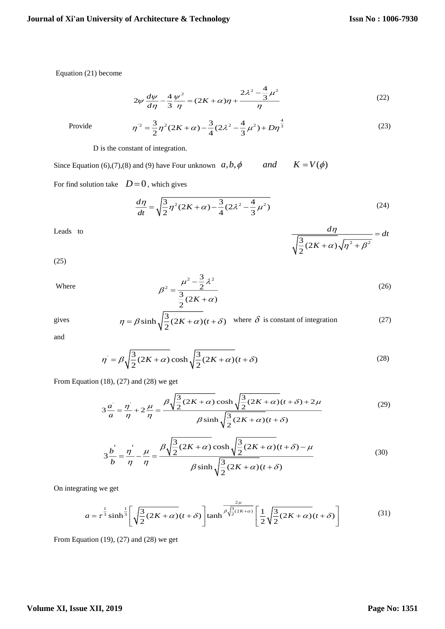Equation (21) become

$$
2\psi \frac{d\psi}{d\eta} - \frac{4}{3} \frac{\psi^2}{\eta} = (2K + \alpha)\eta + \frac{2\lambda^2 - \frac{4}{3}\mu^2}{\eta}
$$
 (22)

Provide

$$
d\eta = 3 \eta \eta
$$
  

$$
\eta^2 = \frac{3}{2} \eta^2 (2K + \alpha) - \frac{3}{4} (2\lambda^2 - \frac{4}{3} \mu^2) + D\eta^{\frac{4}{3}}
$$
 (23)

D is the constant of integration.

Since Equation (6),(7),(8) and (9) have Four unknown  $a, b, \phi$ *and*  $K = V(\phi)$ 

For find solution take  $D=0$ , which gives

$$
\frac{d\eta}{dt} = \sqrt{\frac{3}{2}\eta^2(2K+\alpha) - \frac{3}{4}(2\lambda^2 - \frac{4}{3}\mu^2)}
$$
(24)

Leads to

$$
(25)
$$

Where

2  $\rightarrow$  12 2 3 2  $\frac{3}{2}(2K+\alpha)$  $\mu^2 - \frac{3}{2}\lambda$  $_{\beta}$ α  $=\frac{\mu - \frac{1}{2}}{\frac{3}{2}(2K + 1)}$  $(26)$ 

 $\frac{3}{2}(2K+\alpha)\sqrt{\eta^2+\beta^2}$ 

 $+\alpha)$ . $(n^2 +$ 

 $\alpha$ ) $\sqrt{\eta^2 + \beta}$ 

ιη

*K*

 $\frac{d\eta}{dt}$  = dt

 $=$ 

$$
\eta = \beta \sinh \sqrt{\frac{3}{2} (2K + \alpha)} (t + \delta)
$$
 where  $\delta$  is constant of integration (27)

and

gives

$$
\eta' = \beta \sqrt{\frac{3}{2} (2K + \alpha)} \cosh \sqrt{\frac{3}{2} (2K + \alpha)} (t + \delta)
$$
\n(28)

From Equation  $(18)$ ,  $(27)$  and  $(28)$  we get

$$
3\frac{a}{a} = \frac{\eta}{\eta} + 2\frac{\mu}{\eta} = \frac{\beta\sqrt{\frac{3}{2}(2K+\alpha)}\cosh\sqrt{\frac{3}{2}(2K+\alpha)}(t+\delta) + 2\mu}{\beta\sinh\sqrt{\frac{3}{2}(2K+\alpha)}(t+\delta)}
$$
(29)

$$
3\frac{b^{\prime}}{b} = \frac{\eta^{\prime}}{\eta} - \frac{\mu}{\eta} = \frac{\beta\sqrt{\frac{3}{2}(2K+\alpha)}\cosh\sqrt{\frac{3}{2}(2K+\alpha)}(t+\delta) - \mu}{\beta\sinh\sqrt{\frac{3}{2}(2K+\alpha)}(t+\delta)}
$$
(30)

On integrating we get

$$
a = \tau^{\frac{1}{3}} \sinh^{\frac{1}{3}} \left[ \sqrt{\frac{3}{2} (2K + \alpha)} (t + \delta) \right] \tanh^{\frac{2\mu}{\beta \sqrt{\frac{3}{2} (2K + \alpha)}}} \left[ \frac{1}{2} \sqrt{\frac{3}{2} (2K + \alpha)} (t + \delta) \right] \tag{31}
$$

From Equation  $(19)$ ,  $(27)$  and  $(28)$  we get

## **Volume XI, Issue XII, 2019**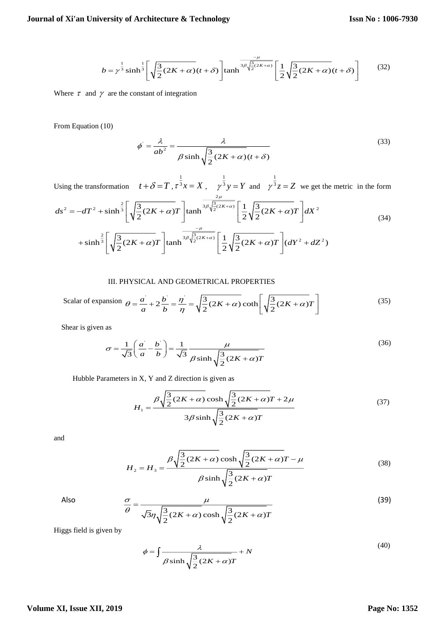$$
b = \gamma^{\frac{1}{3}} \sinh^{\frac{1}{3}} \left[ \sqrt{\frac{3}{2} (2K + \alpha)} (t + \delta) \right] \tanh^{\frac{-\mu}{3\beta \sqrt{\frac{3}{2} (2K + \alpha)}}} \left[ \frac{1}{2} \sqrt{\frac{3}{2} (2K + \alpha)} (t + \delta) \right] \tag{32}
$$

Where  $\tau$  and  $\gamma$  are the constant of integration

From Equation (10)

$$
\phi' = \frac{\lambda}{ab^2} = \frac{\lambda}{\beta \sinh \sqrt{\frac{3}{2}(2K+\alpha)(t+\delta)}}
$$
(33)

Using the transformation  $t + \delta = T$ , 1  $\tau^3 x = X$ , 1  $\gamma^3$   $y = Y$  and 1  $\gamma^3 z = Z$  we get the metric in the form  $2\mu$ 

$$
ds^{2} = -dT^{2} + \sinh^{\frac{2}{3}} \left[ \sqrt{\frac{3}{2} (2K + \alpha) T} \right] \tanh^{\frac{3}{3}\sqrt{\frac{3}{2} (2K + \alpha)}} \left[ \frac{1}{2} \sqrt{\frac{3}{2} (2K + \alpha) T} \right] dX^{2}
$$
  
+  $\sinh^{\frac{2}{3}} \left[ \sqrt{\frac{3}{2} (2K + \alpha) T} \right] \tanh^{\frac{7\mu}{3}\sqrt{\frac{3}{2} (2K + \alpha)}} \left[ \frac{1}{2} \sqrt{\frac{3}{2} (2K + \alpha) T} \right] (dY^{2} + dZ^{2})$  (34)

#### III. PHYSICAL AND GEOMETRICAL PROPERTIES

Scalar of expansion 
$$
\theta = \frac{a}{a} + 2\frac{b}{b} = \frac{\eta}{\eta} = \sqrt{\frac{3}{2}(2K + \alpha)} \coth\left[\sqrt{\frac{3}{2}(2K + \alpha)}T\right]
$$
 (35)

Shear is given as

$$
\sigma = \frac{1}{\sqrt{3}} \left( \frac{a}{a} - \frac{b}{b} \right) = \frac{1}{\sqrt{3}} \frac{\mu}{\beta \sinh \sqrt{\frac{3}{2} (2K + \alpha)T}}
$$
(36)

Hubble Parameters in X, Y and Z direction is given as

$$
H_1 = \frac{\beta \sqrt{\frac{3}{2} (2K + \alpha)} \cosh \sqrt{\frac{3}{2} (2K + \alpha)} T + 2\mu}{3\beta \sinh \sqrt{\frac{3}{2} (2K + \alpha)} T}
$$
(37)

and

$$
H_2 = H_3 = \frac{\beta \sqrt{\frac{3}{2} (2K + \alpha)} \cosh \sqrt{\frac{3}{2} (2K + \alpha)} T - \mu}{\beta \sinh \sqrt{\frac{3}{2} (2K + \alpha)} T}
$$
(38)

Also

$$
\frac{\sigma}{\theta} = \frac{\mu}{\sqrt{3}\eta \sqrt{\frac{3}{2}(2K+\alpha)}\cosh\sqrt{\frac{3}{2}(2K+\alpha)T}}
$$
(39)

Higgs field is given by

$$
\phi = \int \frac{\lambda}{\beta \sinh \sqrt{\frac{3}{2} (2K + \alpha)T}} + N
$$
\n(40)

## **Volume XI, Issue XII, 2019**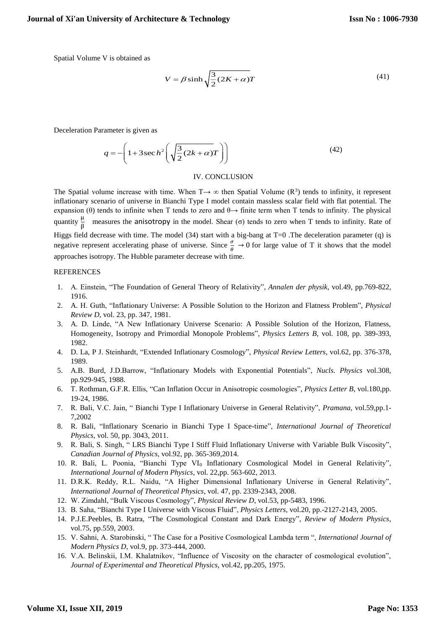Spatial Volume V is obtained as

$$
V = \beta \sinh\sqrt{\frac{3}{2}(2K+\alpha)}T\tag{41}
$$

Deceleration Parameter is given as

$$
q = -\left(1 + 3\sec h^2 \left(\sqrt{\frac{3}{2}(2k+\alpha)T}\right)\right)
$$
(42)

## IV. CONCLUSION

The Spatial volume increase with time. When  $T \rightarrow \infty$  then Spatial Volume ( $R^3$ ) tends to infinity, it represent inflationary scenario of universe in Bianchi Type I model contain massless scalar field with flat potential. The expansion (θ) tends to infinite when T tends to zero and  $\theta \rightarrow$  finite term when T tends to infinity. The physical quantity  $\frac{\mu}{\beta}$  measures the anisotropy in the model. Shear (σ) tends to zero when T tends to infinity. Rate of Higgs field decrease with time. The model (34) start with a big-bang at T=0 .The deceleration parameter (q) is negative represent accelerating phase of universe. Since  $\frac{\sigma}{\theta} \to 0$  for large value of T it shows that the model approaches isotropy. The Hubble parameter decrease with time.

#### REFERENCES

- 1. A. Einstein, "The Foundation of General Theory of Relativity", *Annalen der physik*, vol.49, pp.769-822, 1916.
- 2. A. H. Guth, "Inflationary Universe: A Possible Solution to the Horizon and Flatness Problem", *Physical Review D*, vol. 23, pp. 347, 1981.
- 3. A. D. Linde, "A New Inflationary Universe Scenario: A Possible Solution of the Horizon, Flatness, Homogeneity, Isotropy and Primordial Monopole Problems", *Physics Letters B*, vol. 108, pp. 389-393, 1982.
- 4. D. La, P J. Steinhardt, "Extended Inflationary Cosmology", *Physical Review Letters*, vol.62, pp. 376-378, 1989.
- 5. A.B. Burd, J.D.Barrow, "Inflationary Models with Exponential Potentials", *Nucls. Physics* vol.308, pp.929-945, 1988.
- 6. T. Rothman, G.F.R. Ellis, "Can Inflation Occur in Anisotropic cosmologies", *Physics Letter B*, vol.180,pp. 19-24, 1986.
- 7. R. Bali, V.C. Jain, " Bianchi Type I Inflationary Universe in General Relativity", *Pramana*, vol.59,pp.1- 7,2002
- 8. R. Bali, "Inflationary Scenario in Bianchi Type I Space-time", *International Journal of Theoretical Physics*, vol. 50, pp. 3043, 2011.
- 9. R. Bali, S. Singh, " LRS Bianchi Type I Stiff Fluid Inflationary Universe with Variable Bulk Viscosity", *Canadian Journal of Physics*, vol.92, pp. 365-369,2014.
- 10. R. Bali, L. Poonia, "Bianchi Type VI<sup>0</sup> Inflationary Cosmological Model in General Relativity", *International Journal of Modern Physics*, vol. 22,pp. 563-602, 2013.
- 11. D.R.K. Reddy, R.L. Naidu, "A Higher Dimensional Inflationary Universe in General Relativity", *International Journal of Theoretical Physics*, vol. 47, pp. 2339-2343, 2008.
- 12. W. Zimdahl, "Bulk Viscous Cosmology", *Physical Review D*, vol.53, pp-5483, 1996.
- 13. B. Saha, "Bianchi Type I Universe with Viscous Fluid", *Physics Letters*, vol.20, pp.-2127-2143, 2005.
- 14. P.J.E.Peebles, B. Ratra, "The Cosmological Constant and Dark Energy", *Review of Modern Physics*, vol.75, pp.559, 2003.
- 15. V. Sahni, A. Starobinski, " The Case for a Positive Cosmological Lambda term ", *International Journal of Modern Physics D*, vol.9, pp. 373-444, 2000.
- 16. V.A. Belinskii, I.M. Khalatnikov, "Influence of Viscosity on the character of cosmological evolution", *Journal of Experimental and Theoretical Physics,* vol.42, pp.205, 1975.